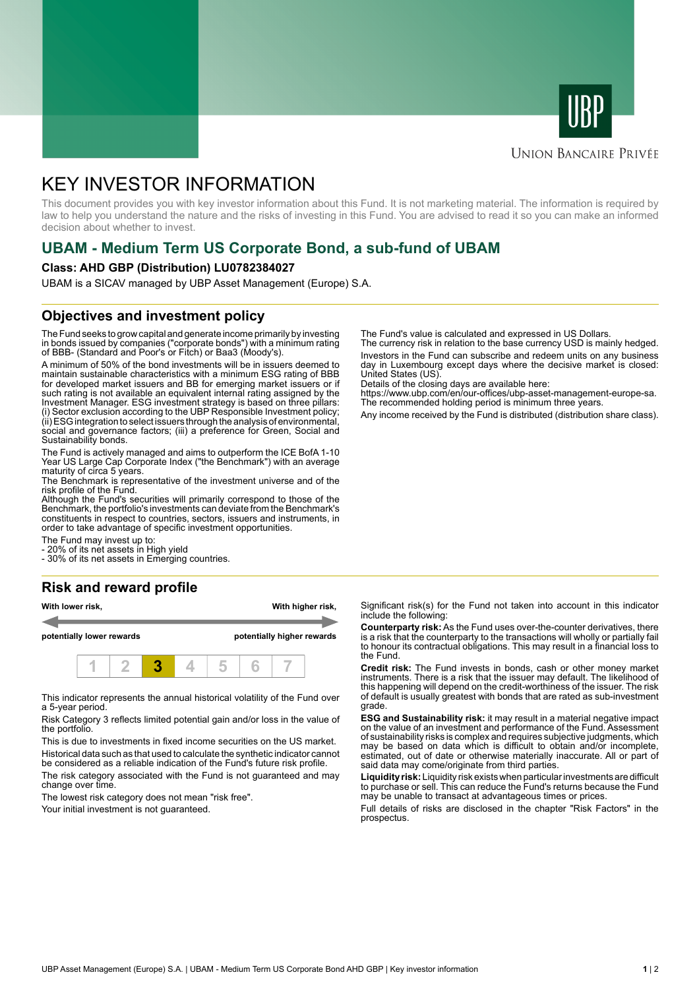



### **UNION BANCAIRE PRIVÉE**

# KEY INVESTOR INFORMATION

This document provides you with key investor information about this Fund. It is not marketing material. The information is required by law to help you understand the nature and the risks of investing in this Fund. You are advised to read it so you can make an informed decision about whether to invest.

# **UBAM - Medium Term US Corporate Bond, a sub-fund of UBAM**

#### **Class: AHD GBP (Distribution) LU0782384027**

UBAM is a SICAV managed by UBP Asset Management (Europe) S.A.

# **Objectives and investment policy**

The Fund seeks to grow capital and generate income primarily by investing in bonds issued by companies ("corporate bonds") with a minimum rating of BBB- (Standard and Poor's or Fitch) or Baa3 (Moody's).

A minimum of 50% of the bond investments will be in issuers deemed to maintain sustainable characteristics with a minimum ESG rating of BBB for developed market issuers and BB for emerging market issuers or if such rating is not available an equivalent internal rating assigned by the Investment Manager. ESG investment strategy is based on three pillars: (i) Sector exclusion according to the UBP Responsible Investment policy; (ii) ESG integration to select issuers through the analysis of environmental, social and governance factors; (iii) a preference for Green, Social and Sustainability bonds.

The Fund is actively managed and aims to outperform the ICE BofA 1-10 Year US Large Cap Corporate Index ("the Benchmark") with an average maturity of circa 5 years.

The Benchmark is representative of the investment universe and of the risk profile of the Fund.

Although the Fund's securities will primarily correspond to those of the Benchmark, the portfolio's investments can deviate from the Benchmark's constituents in respect to countries, sectors, issuers and instruments, in order to take advantage of specific investment opportunities.

The Fund may invest up to:

20% of its net assets in High yield

- 30% of its net assets in Emerging countries.

# **Risk and reward profile**

| With lower risk,<br>potentially lower rewards |  |  |  |  | With higher risk,<br>potentially higher rewards |  |  |  |
|-----------------------------------------------|--|--|--|--|-------------------------------------------------|--|--|--|
|                                               |  |  |  |  |                                                 |  |  |  |

This indicator represents the annual historical volatility of the Fund over a 5-year period.

Risk Category 3 reflects limited potential gain and/or loss in the value of the portfolio.

This is due to investments in fixed income securities on the US market. Historical data such as that used to calculate the synthetic indicator cannot

be considered as a reliable indication of the Fund's future risk profile. The risk category associated with the Fund is not guaranteed and may change over time.

The lowest risk category does not mean "risk free".

Your initial investment is not guaranteed.

The Fund's value is calculated and expressed in US Dollars.

The currency risk in relation to the base currency USD is mainly hedged. Investors in the Fund can subscribe and redeem units on any business day in Luxembourg except days where the decisive market is closed: United States (US).

Details of the closing days are available here:

https://www.ubp.com/en/our-offices/ubp-asset-management-europe-sa. The recommended holding period is minimum three years.

Any income received by the Fund is distributed (distribution share class).

Significant risk(s) for the Fund not taken into account in this indicator include the following:

**Counterparty risk:** As the Fund uses over-the-counter derivatives, there is a risk that the counterparty to the transactions will wholly or partially fail to honour its contractual obligations. This may result in a financial loss to the Fund.

**Credit risk:** The Fund invests in bonds, cash or other money market instruments. There is a risk that the issuer may default. The likelihood of this happening will depend on the credit-worthiness of the issuer. The risk of default is usually greatest with bonds that are rated as sub-investment grade.

**ESG and Sustainability risk:** it may result in a material negative impact on the value of an investment and performance of the Fund. Assessment of sustainability risks is complex and requires subjective judgments, which may be based on data which is difficult to obtain and/or incomplete, estimated, out of date or otherwise materially inaccurate. All or part of said data may come/originate from third parties.

**Liquidity risk:** Liquidity risk exists when particular investments are difficult to purchase or sell. This can reduce the Fund's returns because the Fund may be unable to transact at advantageous times or prices.

Full details of risks are disclosed in the chapter "Risk Factors" in the prospectus.